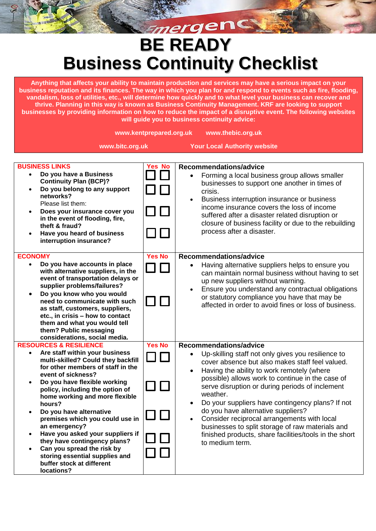## Emergency **BE READY Business Continuity Checklist**

**Anything that affects your ability to maintain production and services may have a serious impact on your business reputation and its finances. The way in which you plan for and respond to events such as fire, flooding, vandalism, loss of utilities, etc., will determine how quickly and to what level your business can recover and thrive. Planning in this way is known as Business Continuity Management. KRF are looking to support businesses by providing information on how to reduce the impact of a disruptive event. The following websites will guide you to business continuity advice:**

|                                                                                                                                                                                                                                                                                                                                                                                                                                                                                                                                                   | www.kentprepared.org.uk | www.thebic.org.uk                                                                                                                                                                                                                                                                                                                                                                                                                                                                                                                                                                       |
|---------------------------------------------------------------------------------------------------------------------------------------------------------------------------------------------------------------------------------------------------------------------------------------------------------------------------------------------------------------------------------------------------------------------------------------------------------------------------------------------------------------------------------------------------|-------------------------|-----------------------------------------------------------------------------------------------------------------------------------------------------------------------------------------------------------------------------------------------------------------------------------------------------------------------------------------------------------------------------------------------------------------------------------------------------------------------------------------------------------------------------------------------------------------------------------------|
| www.bitc.org.uk                                                                                                                                                                                                                                                                                                                                                                                                                                                                                                                                   |                         | <b>Your Local Authority website</b>                                                                                                                                                                                                                                                                                                                                                                                                                                                                                                                                                     |
| <b>BUSINESS LINKS</b><br>Do you have a Business<br><b>Continuity Plan (BCP)?</b><br>Do you belong to any support<br>$\bullet$<br>networks?<br>Please list them:<br>Does your insurance cover you<br>$\bullet$<br>in the event of flooding, fire,<br>theft & fraud?<br>Have you heard of business<br>interruption insurance?                                                                                                                                                                                                                       | <b>Yes No</b>           | Recommendations/advice<br>Forming a local business group allows smaller<br>$\bullet$<br>businesses to support one another in times of<br>crisis.<br>Business interruption insurance or business<br>income insurance covers the loss of income<br>suffered after a disaster related disruption or<br>closure of business facility or due to the rebuilding<br>process after a disaster.                                                                                                                                                                                                  |
| <b>ECONOMY</b><br>Do you have accounts in place<br>$\bullet$<br>with alternative suppliers, in the<br>event of transportation delays or<br>supplier problems/failures?<br>Do you know who you would<br>٠<br>need to communicate with such<br>as staff, customers, suppliers,<br>etc., in crisis - how to contact<br>them and what you would tell<br>them? Public messaging<br>considerations, social media.                                                                                                                                       | <b>Yes No</b>           | Recommendations/advice<br>Having alternative suppliers helps to ensure you<br>$\bullet$<br>can maintain normal business without having to set<br>up new suppliers without warning.<br>Ensure you understand any contractual obligations<br>or statutory compliance you have that may be<br>affected in order to avoid fines or loss of business.                                                                                                                                                                                                                                        |
| <b>RESOURCES &amp; RESILIENCE</b><br>Are staff within your business<br>multi-skilled? Could they backfill<br>for other members of staff in the<br>event of sickness?<br>Do you have flexible working<br>policy, including the option of<br>home working and more flexible<br>hours?<br>Do you have alternative<br>premises which you could use in<br>an emergency?<br>Have you asked your suppliers if<br>they have contingency plans?<br>Can you spread the risk by<br>storing essential supplies and<br>buffer stock at different<br>locations? | <b>Yes No</b>           | Recommendations/advice<br>Up-skilling staff not only gives you resilience to<br>cover absence but also makes staff feel valued.<br>Having the ability to work remotely (where<br>$\bullet$<br>possible) allows work to continue in the case of<br>serve disruption or during periods of inclement<br>weather.<br>Do your suppliers have contingency plans? If not<br>do you have alternative suppliers?<br>Consider reciprocal arrangements with local<br>businesses to split storage of raw materials and<br>finished products, share facilities/tools in the short<br>to medium term. |